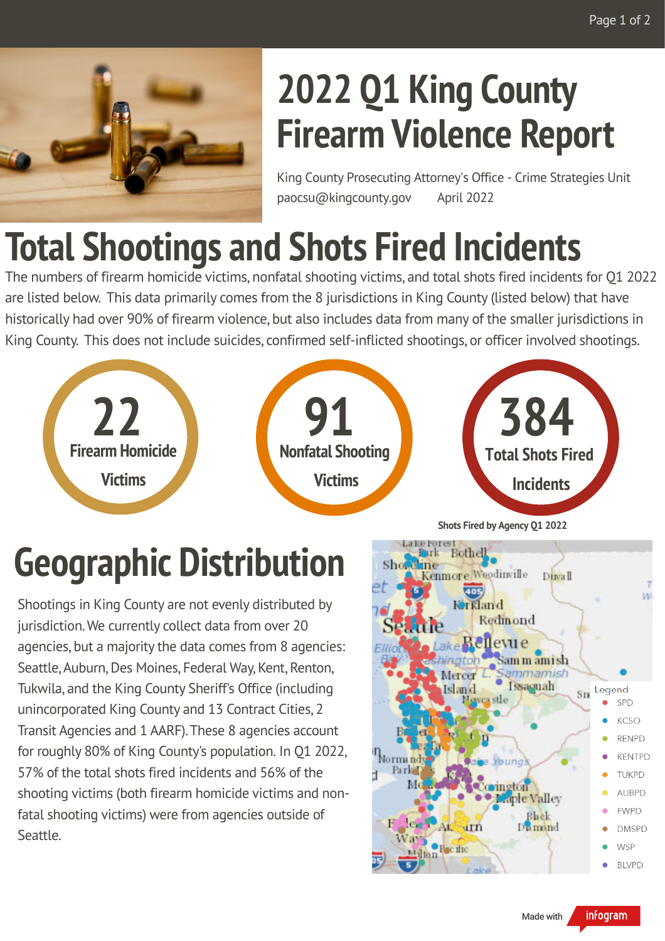

# **2022 Q1 King County Firearm Violence Report**

King County Prosecuting Attorney's Office - Crime Strategies Unit paocsu@kingcounty.gov April 2022

### **Total Shootings and Shots Fired Incidents**

The numbers of firearm homicide victims, nonfatal shooting victims, and total shots fired incidents for Q1 2022 are listed below. This data primarily comes from the 8 jurisdictions in King County (listed below) that have historically had over 90% of firearm violence, but also includes data from many of the smaller jurisdictions in King County. This does not include suicides, confirmed self-inflicted shootings, or officer involved shootings.



# **Geographic Distribution**

Shootings in King County are not evenly distributed by jurisdiction. We currently collect data from over 20 agencies, but a majority the data comes from 8 agencies: Seattle, Auburn, Des Moines, Federal Way, Kent, Renton, Tukwila, and the King County Sheriff's Office (including unincorporated King County and 13 Contract Cities, 2 Transit Agencies and 1 AARF). These 8 agencies account for roughly 80% of King County's population. In Q1 2022, 57% of the total shots fired incidents and 56% of the shooting victims (both firearm homicide victims and nonfatal shooting victims) were from agencies outside of Seattle.

**Shots Fired by Agency Q1 2022**